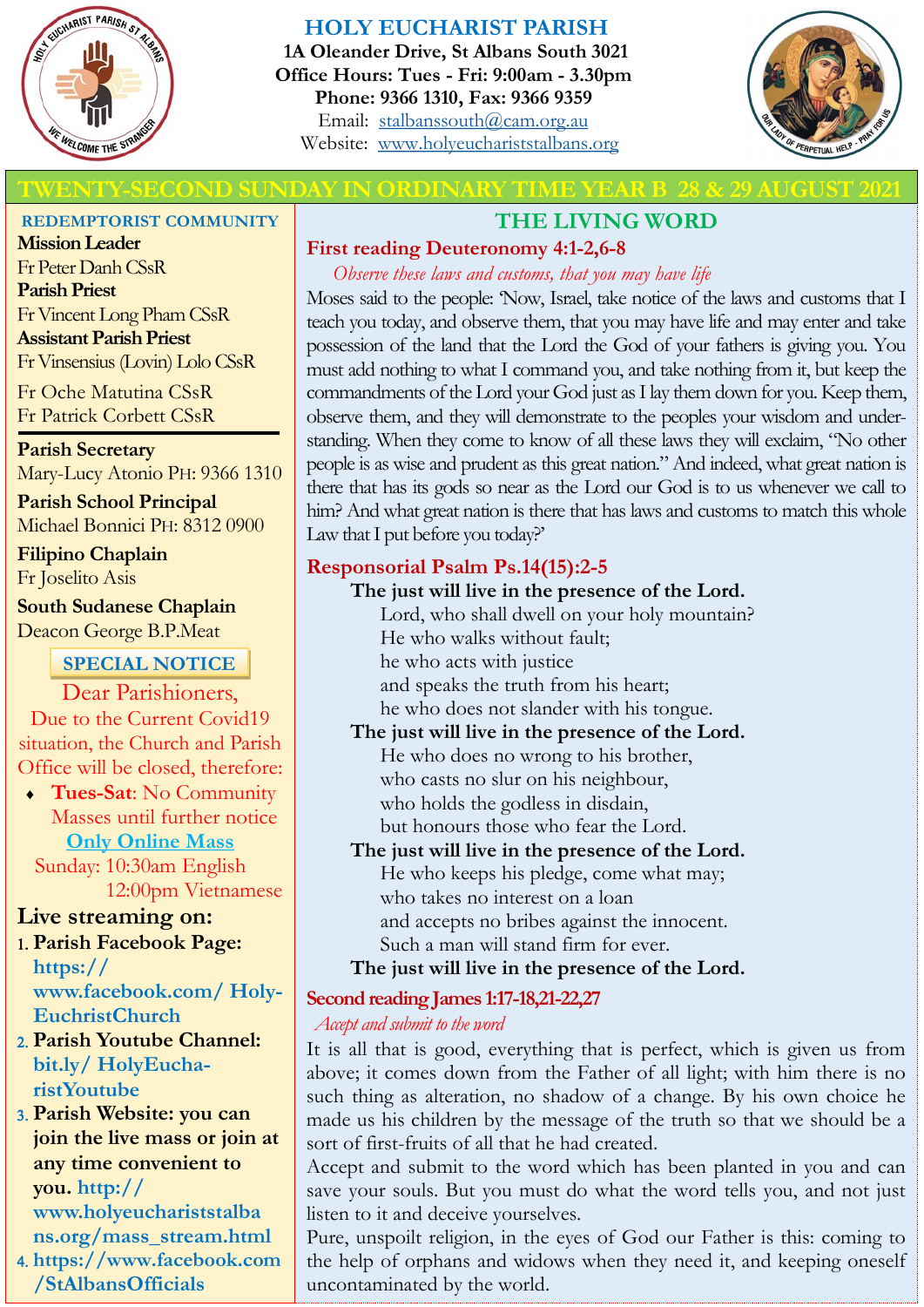

## **HOLY EUCHARIST PARISH**

**1A Oleander Drive, St Albans South 3021 Office Hours: Tues - Fri: 9:00am - 3.30pm Phone: 9366 1310, Fax: 9366 9359** Email: [stalbanssouth@cam.org.au](mailto:stalbanssouth@cam.org.au) Website:[www.holyeuchariststalbans.org](http://www.holyeuchariststalbans.org)



# **THE SECOND SUNDAY IN ORDINARY TIME YEAR B 28 & 29 AUGUST 2021**

# **THE LIVING WORD**

## **First reading Deuteronomy 4:1-2,6-8**

*Observe these laws and customs, that you may have life*

Moses said to the people: 'Now, Israel, take notice of the laws and customs that I teach you today, and observe them, that you may have life and may enter and take possession of the land that the Lord the God of your fathers is giving you. You must add nothing to what I command you, and take nothing from it, but keep the commandments of the Lord your God just as I lay them down for you. Keep them, observe them, and they will demonstrate to the peoples your wisdom and understanding. When they come to know of all these laws they will exclaim, "No other people is as wise and prudent as this great nation." And indeed, what great nation is there that has its gods so near as the Lord our God is to us whenever we call to him? And what great nation is there that has laws and customs to match this whole Law that I put before you today?'

## **Responsorial Psalm Ps.14(15):2-5**

**The just will live in the presence of the Lord.** Lord, who shall dwell on your holy mountain? He who walks without fault; he who acts with justice and speaks the truth from his heart;

he who does not slander with his tongue.

### **The just will live in the presence of the Lord.**

He who does no wrong to his brother, who casts no slur on his neighbour, who holds the godless in disdain, but honours those who fear the Lord.

### **The just will live in the presence of the Lord.**

He who keeps his pledge, come what may; who takes no interest on a loan and accepts no bribes against the innocent. Such a man will stand firm for ever.

### **The just will live in the presence of the Lord.**

## **Second reading James 1:17-18,21-22,27**

*Accept and submit to the word*

It is all that is good, everything that is perfect, which is given us from above; it comes down from the Father of all light; with him there is no such thing as alteration, no shadow of a change. By his own choice he made us his children by the message of the truth so that we should be a sort of first-fruits of all that he had created.

Accept and submit to the word which has been planted in you and can save your souls. But you must do what the word tells you, and not just listen to it and deceive yourselves.

Pure, unspoilt religion, in the eyes of God our Father is this: coming to the help of orphans and widows when they need it, and keeping oneself uncontaminated by the world.

### **REDEMPTORIST COMMUNITY**

**Mission Leader** Fr Peter Danh CSsR **Parish Priest** Fr Vincent Long Pham CSsR **Assistant Parish Priest**  Fr Vinsensius (Lovin) Lolo CSsR

Fr Oche Matutina CSsR Fr Patrick Corbett CSsR

**Parish Secretary** Mary-Lucy Atonio PH: 9366 1310

**Parish School Principal** Michael Bonnici PH: 8312 0900

**Filipino Chaplain** Fr Joselito Asis

**South Sudanese Chaplain** Deacon George B.P.Meat

## **SPECIAL NOTICE**

Dear Parishioners, Due to the Current Covid19 situation, the Church and Parish Office will be closed, therefore:

 **Tues-Sat**: No Community Masses until further notice **Only Online Mass** 

 Sunday: 10:30am English 12:00pm Vietnamese

## **Live streaming on:**

- **Parish Facebook Page: https:// www.facebook.com/ Holy-EuchristChurch**
- **Parish Youtube Channel: bit.ly/ HolyEucharistYoutube**
- **Parish Website: you can join the live mass or join at any time convenient to you. http:// www.holyeuchariststalba ns.org/mass\_stream.html**

 **https://www.facebook.com /StAlbansOfficials**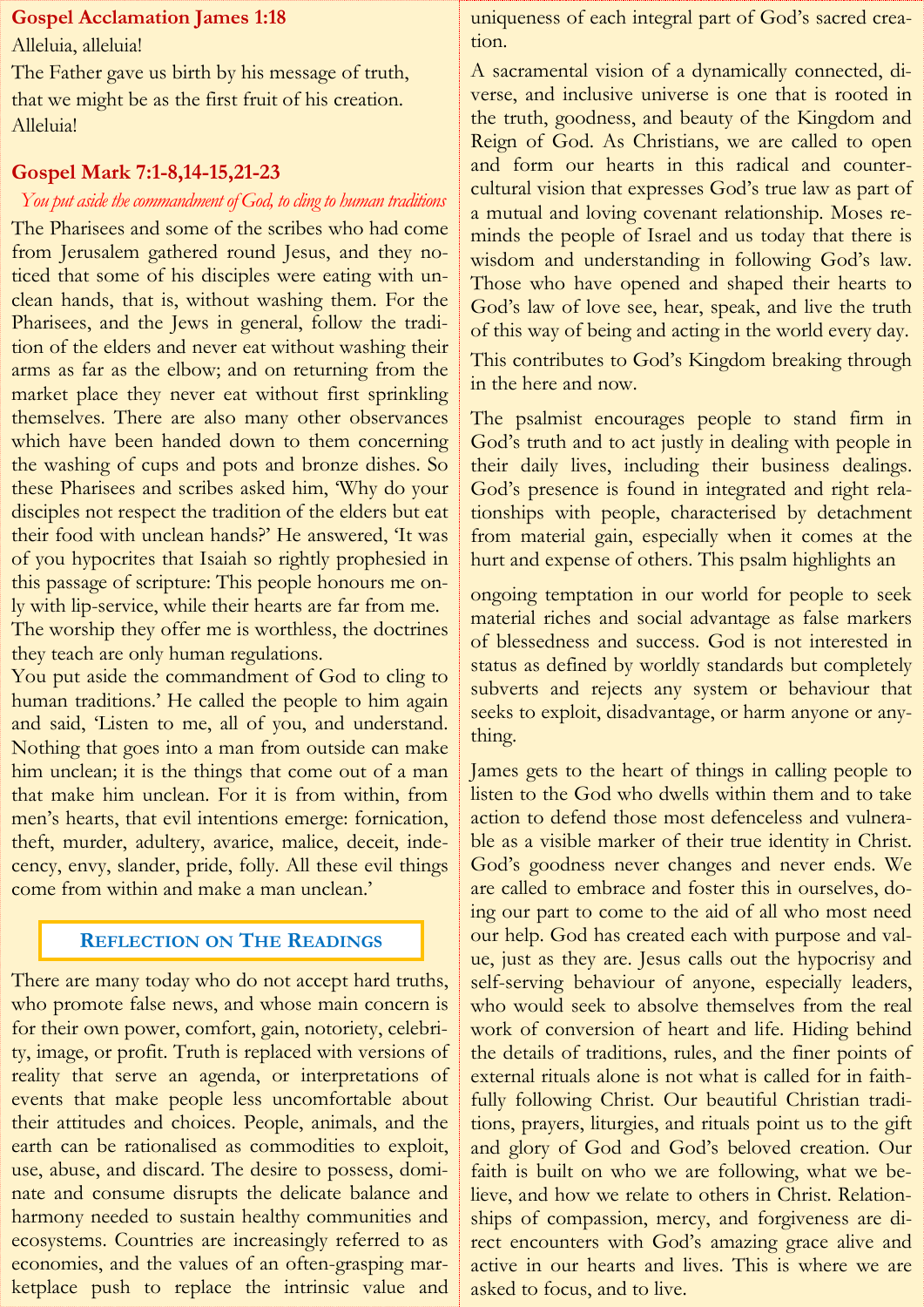### **Gospel Acclamation James 1:18**

Alleluia, alleluia!

The Father gave us birth by his message of truth, that we might be as the first fruit of his creation. Alleluia!

## **Gospel Mark 7:1-8,14-15,21-23**

## *You put aside the commandment of God, to cling to human traditions*

The Pharisees and some of the scribes who had come from Jerusalem gathered round Jesus, and they noticed that some of his disciples were eating with unclean hands, that is, without washing them. For the Pharisees, and the Jews in general, follow the tradition of the elders and never eat without washing their arms as far as the elbow; and on returning from the market place they never eat without first sprinkling themselves. There are also many other observances which have been handed down to them concerning the washing of cups and pots and bronze dishes. So these Pharisees and scribes asked him, 'Why do your disciples not respect the tradition of the elders but eat their food with unclean hands?' He answered, 'It was of you hypocrites that Isaiah so rightly prophesied in this passage of scripture: This people honours me only with lip-service, while their hearts are far from me. The worship they offer me is worthless, the doctrines they teach are only human regulations.

You put aside the commandment of God to cling to human traditions.' He called the people to him again and said, 'Listen to me, all of you, and understand. Nothing that goes into a man from outside can make him unclean; it is the things that come out of a man that make him unclean. For it is from within, from men's hearts, that evil intentions emerge: fornication, theft, murder, adultery, avarice, malice, deceit, indecency, envy, slander, pride, folly. All these evil things come from within and make a man unclean.'

## **REFLECTION ON THE READINGS**

There are many today who do not accept hard truths, who promote false news, and whose main concern is for their own power, comfort, gain, notoriety, celebrity, image, or profit. Truth is replaced with versions of reality that serve an agenda, or interpretations of events that make people less uncomfortable about their attitudes and choices. People, animals, and the earth can be rationalised as commodities to exploit, use, abuse, and discard. The desire to possess, dominate and consume disrupts the delicate balance and harmony needed to sustain healthy communities and ecosystems. Countries are increasingly referred to as economies, and the values of an often-grasping marketplace push to replace the intrinsic value and

uniqueness of each integral part of God's sacred creation.

A sacramental vision of a dynamically connected, diverse, and inclusive universe is one that is rooted in the truth, goodness, and beauty of the Kingdom and Reign of God. As Christians, we are called to open and form our hearts in this radical and countercultural vision that expresses God's true law as part of a mutual and loving covenant relationship. Moses reminds the people of Israel and us today that there is wisdom and understanding in following God's law. Those who have opened and shaped their hearts to God's law of love see, hear, speak, and live the truth of this way of being and acting in the world every day. This contributes to God's Kingdom breaking through in the here and now.

The psalmist encourages people to stand firm in God's truth and to act justly in dealing with people in their daily lives, including their business dealings. God's presence is found in integrated and right relationships with people, characterised by detachment from material gain, especially when it comes at the hurt and expense of others. This psalm highlights an

ongoing temptation in our world for people to seek material riches and social advantage as false markers of blessedness and success. God is not interested in status as defined by worldly standards but completely subverts and rejects any system or behaviour that seeks to exploit, disadvantage, or harm anyone or anything.

James gets to the heart of things in calling people to listen to the God who dwells within them and to take action to defend those most defenceless and vulnerable as a visible marker of their true identity in Christ. God's goodness never changes and never ends. We are called to embrace and foster this in ourselves, doing our part to come to the aid of all who most need our help. God has created each with purpose and value, just as they are. Jesus calls out the hypocrisy and self-serving behaviour of anyone, especially leaders, who would seek to absolve themselves from the real work of conversion of heart and life. Hiding behind the details of traditions, rules, and the finer points of external rituals alone is not what is called for in faithfully following Christ. Our beautiful Christian traditions, prayers, liturgies, and rituals point us to the gift and glory of God and God's beloved creation. Our faith is built on who we are following, what we believe, and how we relate to others in Christ. Relationships of compassion, mercy, and forgiveness are direct encounters with God's amazing grace alive and active in our hearts and lives. This is where we are asked to focus, and to live.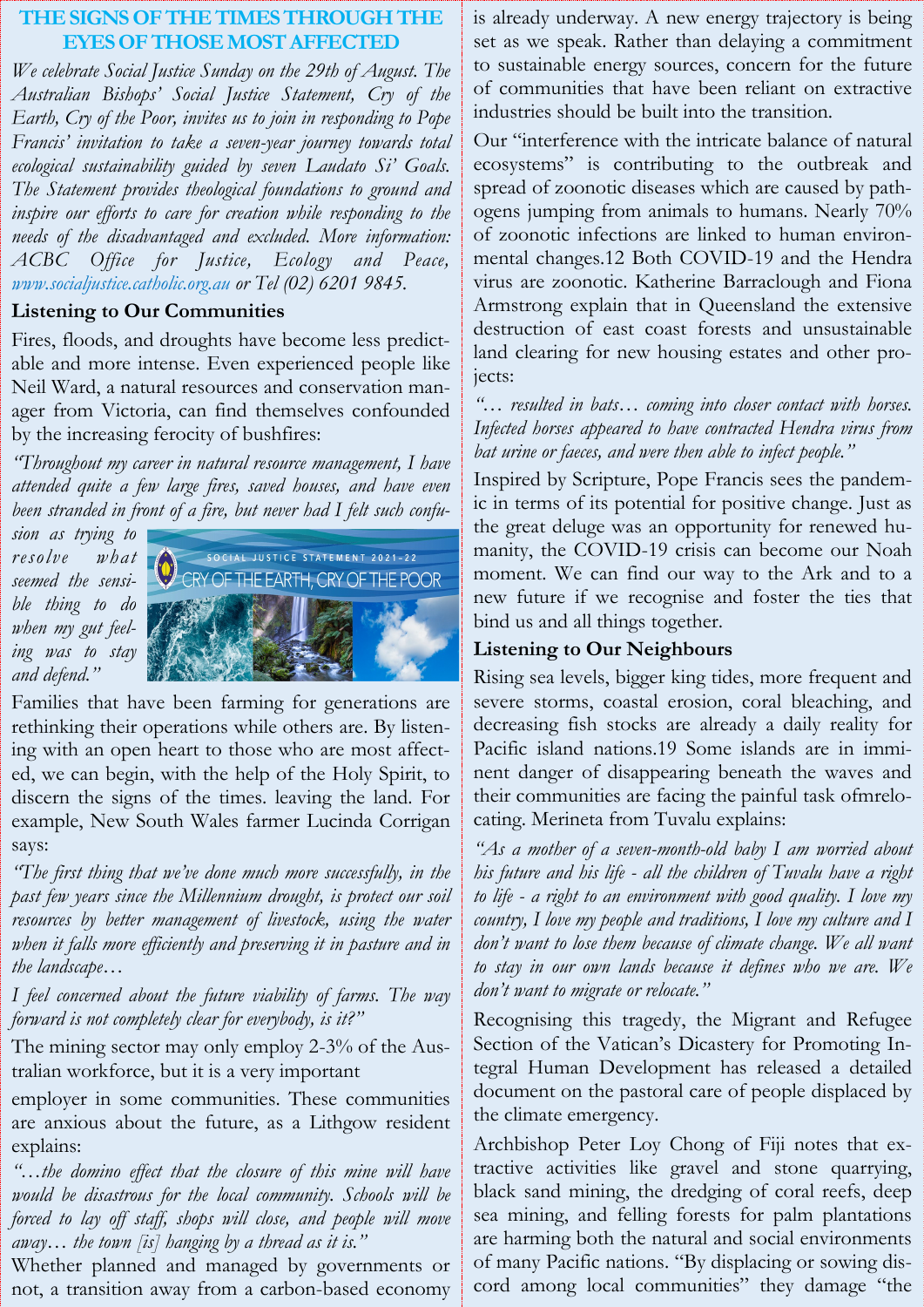## **THE SIGNS OF THE TIMES THROUGH EYES OF THOSE MOST AFFECTED**

*We celebrate Social Justice Sunday on the 29th of August. The Australian Bishops' Social Justice Statement, Cry of the Earth, Cry of the Poor, invites us to join in responding to Pope Francis' invitation to take a seven-year journey towards total ecological sustainability guided by seven Laudato Si' Goals. The Statement provides theological foundations to ground and inspire our efforts to care for creation while responding to the needs of the disadvantaged and excluded. More information: ACBC Office for Justice, Ecology and Peace, www.socialjustice.catholic.org.au or Tel (02) 6201 9845.*

### **Listening to Our Communities**

Fires, floods, and droughts have become less predictable and more intense. Even experienced people like Neil Ward, a natural resources and conservation manager from Victoria, can find themselves confounded by the increasing ferocity of bushfires:

*"Throughout my career in natural resource management, I have attended quite a few large fires, saved houses, and have even been stranded in front of a fire, but never had I felt such confu-*

*sion as trying to resolve what seemed the sensible thing to do when my gut feeling was to stay and defend."*



Families that have been farming for generations are rethinking their operations while others are. By listening with an open heart to those who are most affected, we can begin, with the help of the Holy Spirit, to discern the signs of the times. leaving the land. For example, New South Wales farmer Lucinda Corrigan says:

*"The first thing that we've done much more successfully, in the past few years since the Millennium drought, is protect our soil resources by better management of livestock, using the water* when it falls more efficiently and preserving it in pasture and in *the landscape…* 

*I feel concerned about the future viability of farms. The way forward is not completely clear for everybody, is it?"*

The mining sector may only employ 2-3% of the Australian workforce, but it is a very important

employer in some communities. These communities are anxious about the future, as a Lithgow resident explains:

*"…the domino effect that the closure of this mine will have would be disastrous for the local community. Schools will be forced to lay off staff, shops will close, and people will move away… the town [is] hanging by a thread as it is."*

Whether planned and managed by governments or not, a transition away from a carbon-based economy is already underway. A new energy trajectory is being set as we speak. Rather than delaying a commitment to sustainable energy sources, concern for the future of communities that have been reliant on extractive industries should be built into the transition.

Our "interference with the intricate balance of natural ecosystems" is contributing to the outbreak and spread of zoonotic diseases which are caused by pathogens jumping from animals to humans. Nearly 70% of zoonotic infections are linked to human environmental changes.12 Both COVID-19 and the Hendra virus are zoonotic. Katherine Barraclough and Fiona Armstrong explain that in Queensland the extensive destruction of east coast forests and unsustainable land clearing for new housing estates and other projects:

*"… resulted in bats… coming into closer contact with horses. Infected horses appeared to have contracted Hendra virus from bat urine or faeces, and were then able to infect people."*

Inspired by Scripture, Pope Francis sees the pandemic in terms of its potential for positive change. Just as the great deluge was an opportunity for renewed humanity, the COVID-19 crisis can become our Noah moment. We can find our way to the Ark and to a new future if we recognise and foster the ties that bind us and all things together.

### **Listening to Our Neighbours**

Rising sea levels, bigger king tides, more frequent and severe storms, coastal erosion, coral bleaching, and decreasing fish stocks are already a daily reality for Pacific island nations.19 Some islands are in imminent danger of disappearing beneath the waves and their communities are facing the painful task ofmrelocating. Merineta from Tuvalu explains:

*"As a mother of a seven-month-old baby I am worried about his future and his life - all the children of Tuvalu have a right to life - a right to an environment with good quality. I love my country, I love my people and traditions, I love my culture and I don't want to lose them because of climate change. We all want to stay in our own lands because it defines who we are. We don't want to migrate or relocate."*

Recognising this tragedy, the Migrant and Refugee Section of the Vatican's Dicastery for Promoting Integral Human Development has released a detailed document on the pastoral care of people displaced by the climate emergency.

Archbishop Peter Loy Chong of Fiji notes that extractive activities like gravel and stone quarrying, black sand mining, the dredging of coral reefs, deep sea mining, and felling forests for palm plantations are harming both the natural and social environments of many Pacific nations. "By displacing or sowing discord among local communities" they damage "the